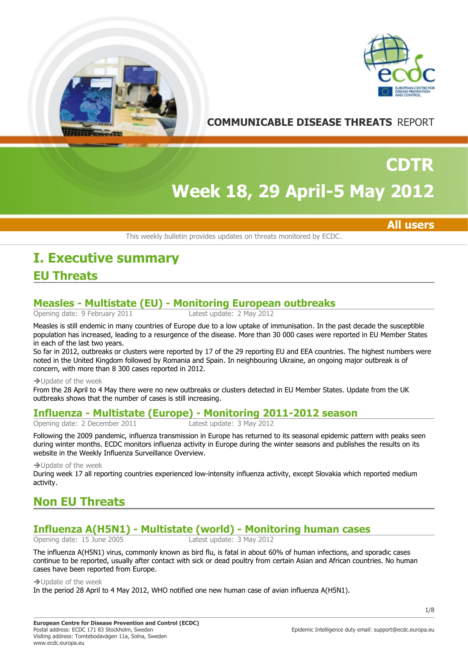



**COMMUNICABLE DISEASE THREATS** REPORT

# **Week 18, 29 April-5 May 2012 CDTR**

## **All users**

This weekly bulletin provides updates on threats monitored by ECDC.

# **EU Threats I. Executive summary**

# **Measles - Multistate (EU) - Monitoring European outbreaks**

Opening date: 9 February 2011

Measles is still endemic in many countries of Europe due to a low uptake of immunisation. In the past decade the susceptible population has increased, leading to a resurgence of the disease. More than 30 000 cases were reported in EU Member States in each of the last two years.

So far in 2012, outbreaks or clusters were reported by 17 of the 29 reporting EU and EEA countries. The highest numbers were noted in the United Kingdom followed by Romania and Spain. In neighbouring Ukraine, an ongoing major outbreak is of concern, with more than 8 300 cases reported in 2012.

#### $\rightarrow$  Update of the week

From the 28 April to 4 May there were no new outbreaks or clusters detected in EU Member States. Update from the UK outbreaks shows that the number of cases is still increasing.

## **Influenza - Multistate (Europe) - Monitoring 2011-2012 season**

Opening date: 2 December 2011 Latest update: 3 May 2012

Following the 2009 pandemic, influenza transmission in Europe has returned to its seasonal epidemic pattern with peaks seen during winter months. ECDC monitors influenza activity in Europe during the winter seasons and publishes the results on its website in the Weekly Influenza Surveillance Overview.

 $\rightarrow$  Update of the week

During week 17 all reporting countries experienced low-intensity influenza activity, except Slovakia which reported medium activity.

# **Non EU Threats**

# **Influenza A(H5N1) - Multistate (world) - Monitoring human cases**

Opening date:  $15$  June 2005

The influenza A(H5N1) virus, commonly known as bird flu, is fatal in about 60% of human infections, and sporadic cases continue to be reported, usually after contact with sick or dead poultry from certain Asian and African countries. No human cases have been reported from Europe.

 $\rightarrow$  Update of the week

In the period 28 April to 4 May 2012, WHO notified one new human case of avian influenza A(H5N1).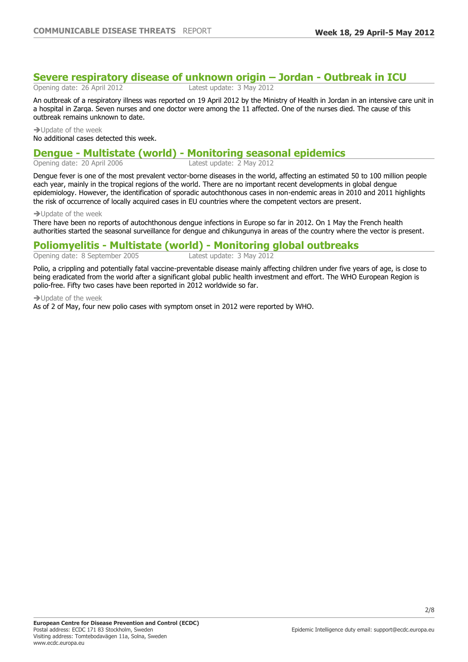# **Severe respiratory disease of unknown origin – Jordan - Outbreak in ICU**

Opening date: 26 April 2012 Latest update: 3 May 2012

An outbreak of a respiratory illness was reported on 19 April 2012 by the Ministry of Health in Jordan in an intensive care unit in a hospital in Zarqa. Seven nurses and one doctor were among the 11 affected. One of the nurses died. The cause of this outbreak remains unknown to date.

 $\rightarrow$  Update of the week No additional cases detected this week.

# **Dengue - Multistate (world) - Monitoring seasonal epidemics**

Opening date: 20 April 2006

Dengue fever is one of the most prevalent vector-borne diseases in the world, affecting an estimated 50 to 100 million people each year, mainly in the tropical regions of the world. There are no important recent developments in global dengue epidemiology. However, the identification of sporadic autochthonous cases in non-endemic areas in 2010 and 2011 highlights the risk of occurrence of locally acquired cases in EU countries where the competent vectors are present.

#### $\rightarrow$  Update of the week

There have been no reports of autochthonous dengue infections in Europe so far in 2012. On 1 May the French health authorities started the seasonal surveillance for dengue and chikungunya in areas of the country where the vector is present.

## **Poliomyelitis - Multistate (world) - Monitoring global outbreaks**

Opening date: 8 September 2005 Latest update: 3 May 2012

Polio, a crippling and potentially fatal vaccine-preventable disease mainly affecting children under five years of age, is close to being eradicated from the world after a significant global public health investment and effort. The WHO European Region is polio-free. Fifty two cases have been reported in 2012 worldwide so far.

 $\rightarrow$  Update of the week

As of 2 of May, four new polio cases with symptom onset in 2012 were reported by WHO.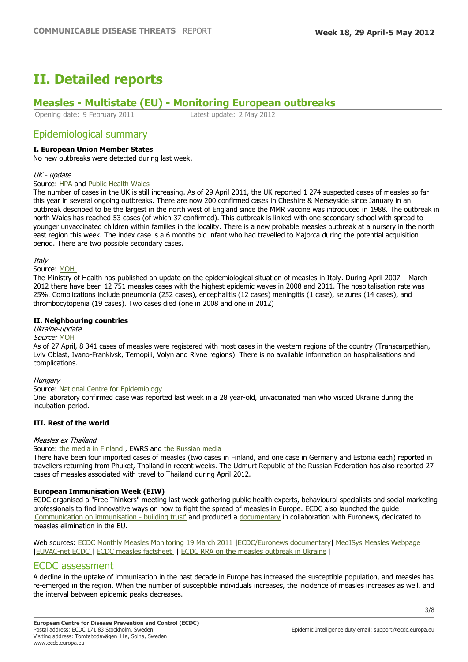# **II. Detailed reports**

# **Measles - Multistate (EU) - Monitoring European outbreaks**

Opening date: 9 February 2011 Latest update: 2 May 2012

## Epidemiological summary

### **I. European Union Member States**

No new outbreaks were detected during last week.

#### UK - update

Source: [HPA](http://www.hpa.org.uk/webc/HPAwebFile/HPAweb_C/1317133931410) and [Public Health Wales](http://www.wales.nhs.uk/sitesplus/888/news/22686) 

The number of cases in the UK is still increasing. As of 29 April 2011, the UK reported 1 274 suspected cases of measles so far this year in several ongoing outbreaks. There are now 200 confirmed cases in Cheshire & Merseyside since January in an outbreak described to be the largest in the north west of England since the MMR vaccine was introduced in 1988. The outbreak in north Wales has reached 53 cases (of which 37 confirmed). This outbreak is linked with one secondary school with spread to younger unvaccinated children within families in the locality. There is a new probable measles outbreak at a nursery in the north east region this week. The index case is a 6 months old infant who had travelled to Majorca during the potential acquisition period. There are two possible secondary cases.

Italy

#### Source: [MOH](http://www.iss.it/pres/prim/cont.php?id=1246&tipo=6&lang=1)

The Ministry of Health has published an update on the epidemiological situation of measles in Italy. During April 2007 – March 2012 there have been 12 751 measles cases with the highest epidemic waves in 2008 and 2011. The hospitalisation rate was 25%. Complications include pneumonia (252 cases), encephalitis (12 cases) meningitis (1 case), seizures (14 cases), and thrombocytopenia (19 cases). Two cases died (one in 2008 and one in 2012)

#### **II. Neighbouring countries**

## Ukraine-update

Source: [MOH](http://www.moz.gov.ua/ua/portal/allnews/)

As of 27 April, 8 341 cases of measles were registered with most cases in the western regions of the country (Transcarpathian, Lviv Oblast, Ivano-Frankivsk, Ternopili, Volyn and Rivne regions). There is no available information on hospitalisations and complications.

#### **Hungary**

#### Source: [National Centre for Epidemiology](http://www.oek.hu/epinfo/admin/uploaded/honlapheti_2012_16.pdf)

One laboratory confirmed case was reported last week in a 28 year-old, unvaccinated man who visited Ukraine during the incubation period.

#### **III. Rest of the world**

#### Measles ex Thailand

Source: [the media in Finland](http://www.thl.fi/fi_FI/web/fi/uutinen?id=29293), EWRS and the Russian media

There have been four imported cases of measles (two cases in Finland, and one case in Germany and Estonia each) reported in travellers returning from Phuket, Thailand in recent weeks. The Udmurt Republic of the Russian Federation has also reported 27 cases of measles associated with travel to Thailand during April 2012.

#### **European Immunisation Week (EIW)**

ECDC organised a "Free Thinkers" meeting last week gathering public health experts, behavioural specialists and social marketing professionals to find innovative ways on how to fight the spread of measles in Europe. ECDC also launched the guide ['Communication on immunisation - building trust'](http://ecdc.europa.eu/en/publications/Publications/TER-Immunisation-and-trust.pdf) and produced a [documentary](http://www.euronews.com/2012/03/26/eliminating-measles-personal-stories/) in collaboration with Euronews, dedicated to measles elimination in the EU.

Web sources: [ECDC Monthly Measles Monitoring 19 March 2011](http://ecdc.europa.eu/en/publications/Publications/Forms/ECDC_DispForm.aspx?ID=843) [|ECDC/Euronews documentary](http://prod-euronews.euronews.net/2012/03/26/eliminating-measles-personal-stories)| [MedISys Measles Webpage](https://medisys.jrc.it/medisys/dynamic?language=en&page=1&edition=alertedition&option=Measles§ion=diseases) |[EUVAC-net ECDC |](http://ecdc.europa.eu/EN/ACTIVITIES/SURVEILLANCE/EUVAC/Pages/index.aspx) [ECDC measles factsheet](http://ecdc.europa.eu/en/healthtopics/measles/Pages/index.aspx) | [ECDC RRA on the measles outbreak in Ukraine](http://ecdc.europa.eu/en/press/news/Lists/News/ECDC_DispForm.aspx?List=32e43ee8%2De230%2D4424%2Da783%2D85742124029a&ID=583&RootFolder=%2Fen%2Fpress%2Fnews%2FLists%2FNews) |

### ECDC assessment

A decline in the uptake of immunisation in the past decade in Europe has increased the susceptible population, and measles has re-emerged in the region. When the number of susceptible individuals increases, the incidence of measles increases as well, and the interval between epidemic peaks decreases.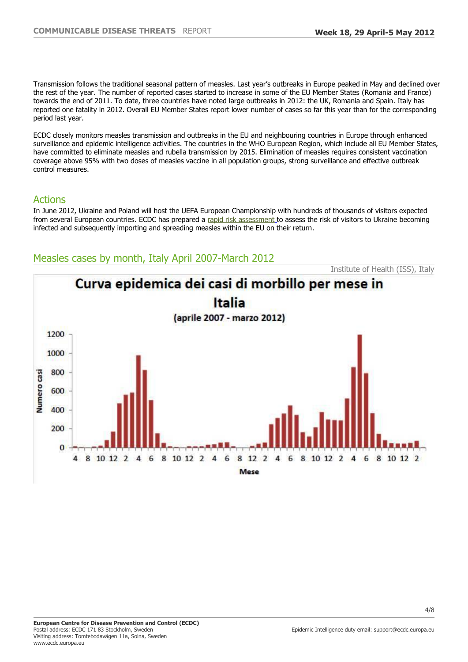Transmission follows the traditional seasonal pattern of measles. Last year's outbreaks in Europe peaked in May and declined over the rest of the year. The number of reported cases started to increase in some of the EU Member States (Romania and France) towards the end of 2011. To date, three countries have noted large outbreaks in 2012: the UK, Romania and Spain. Italy has reported one fatality in 2012. Overall EU Member States report lower number of cases so far this year than for the corresponding period last year.

ECDC closely monitors measles transmission and outbreaks in the EU and neighbouring countries in Europe through enhanced surveillance and epidemic intelligence activities. The countries in the WHO European Region, which include all EU Member States, have committed to eliminate measles and rubella transmission by 2015. Elimination of measles requires consistent vaccination coverage above 95% with two doses of measles vaccine in all population groups, strong surveillance and effective outbreak control measures.

## Actions

In June 2012, Ukraine and Poland will host the UEFA European Championship with hundreds of thousands of visitors expected from several European countries. ECDC has prepared a [rapid risk assessment](http://ecdc.europa.eu/en/press/news/Lists/News/ECDC_DispForm.aspx?List=32e43ee8%2De230%2D4424%2Da783%2D85742124029a&ID=583&RootFolder=%2Fen%2Fpress%2Fnews%2FLists%2FNews) to assess the risk of visitors to Ukraine becoming infected and subsequently importing and spreading measles within the EU on their return.

# Measles cases by month, Italy April 2007-March 2012

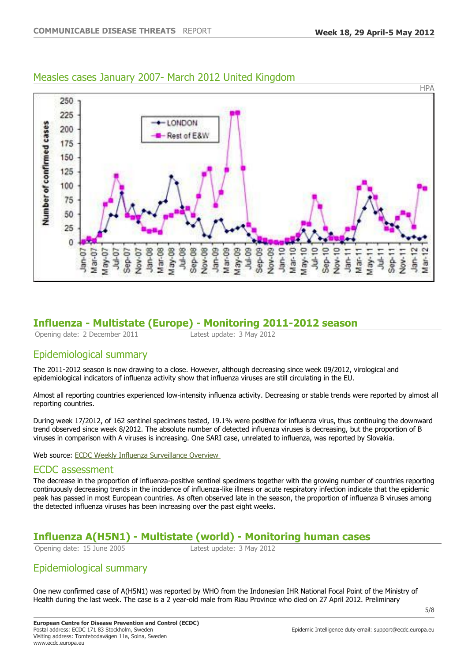

## Measles cases January 2007- March 2012 United Kingdom

# **Influenza - Multistate (Europe) - Monitoring 2011-2012 season**

Opening date: 2 December 2011 Latest update: 3 May 2012

# Epidemiological summary

The 2011-2012 season is now drawing to a close. However, although decreasing since week 09/2012, virological and epidemiological indicators of influenza activity show that influenza viruses are still circulating in the EU.

Almost all reporting countries experienced low-intensity influenza activity. Decreasing or stable trends were reported by almost all reporting countries.

During week 17/2012, of 162 sentinel specimens tested, 19.1% were positive for influenza virus, thus continuing the downward trend observed since week 8/2012. The absolute number of detected influenza viruses is decreasing, but the proportion of B viruses in comparison with A viruses is increasing. One SARI case, unrelated to influenza, was reported by Slovakia.

Web source: [ECDC Weekly Influenza Surveillance Overview](http://ecdc.europa.eu/en/healthtopics/seasonal_influenza/epidemiological_data/pages/weekly_influenza_surveillance_overview.aspx) 

## ECDC assessment

The decrease in the proportion of influenza-positive sentinel specimens together with the growing number of countries reporting continuously decreasing trends in the incidence of influenza-like illness or acute respiratory infection indicate that the epidemic peak has passed in most European countries. As often observed late in the season, the proportion of influenza B viruses among the detected influenza viruses has been increasing over the past eight weeks.

# **Influenza A(H5N1) - Multistate (world) - Monitoring human cases**

Opening date: 15 June 2005 Latest update: 3 May 2012

# Epidemiological summary

One new confirmed case of A(H5N1) was reported by WHO from the Indonesian IHR National Focal Point of the Ministry of Health during the last week. The case is a 2 year-old male from Riau Province who died on 27 April 2012. Preliminary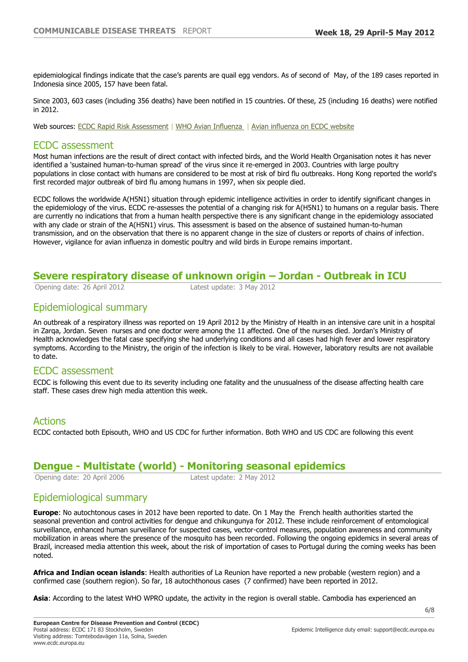epidemiological findings indicate that the case's parents are quail egg vendors. As of second of May, of the 189 cases reported in Indonesia since 2005, 157 have been fatal.

Since 2003, 603 cases (including 356 deaths) have been notified in 15 countries. Of these, 25 (including 16 deaths) were notified in 2012.

Web sources: [ECDC Rapid Risk Assessment](http://ecdc.europa.eu/en/press/news/Lists/News/ECDC_DispForm.aspx?List=32e43ee8%2De230%2D4424%2Da783%2D85742124029a&ID=477&RootFolder=%2Fen%2Fpress%2Fnews%2FLists%2FNews) | [WHO Avian Influenza](http://www.who.int/influenza/human_animal_interface/en/index.html) | [Avian influenza on ECDC website](http://ecdc.europa.eu/en/healthtopics/avian_influenza/Pages/index.aspx)

## ECDC assessment

Most human infections are the result of direct contact with infected birds, and the World Health Organisation notes it has never identified a 'sustained human-to-human spread' of the virus since it re-emerged in 2003. Countries with large poultry populations in close contact with humans are considered to be most at risk of bird flu outbreaks. Hong Kong reported the world's first recorded major outbreak of bird flu among humans in 1997, when six people died.

ECDC follows the worldwide A(H5N1) situation through epidemic intelligence activities in order to identify significant changes in the epidemiology of the virus. ECDC re-assesses the potential of a changing risk for A(H5N1) to humans on a regular basis. There are currently no indications that from a human health perspective there is any significant change in the epidemiology associated with any clade or strain of the A(H5N1) virus. This assessment is based on the absence of sustained human-to-human transmission, and on the observation that there is no apparent change in the size of clusters or reports of chains of infection. However, vigilance for avian influenza in domestic poultry and wild birds in Europe remains important.

## **Severe respiratory disease of unknown origin – Jordan - Outbreak in ICU**

Opening date: 26 April 2012 Latest update: 3 May 2012

# Epidemiological summary

An outbreak of a respiratory illness was reported on 19 April 2012 by the Ministry of Health in an intensive care unit in a hospital in Zarqa, Jordan. Seven nurses and one doctor were among the 11 affected. One of the nurses died. Jordan's Ministry of Health acknowledges the fatal case specifying she had underlying conditions and all cases had high fever and lower respiratory symptoms. According to the Ministry, the origin of the infection is likely to be viral. However, laboratory results are not available to date.

### ECDC assessment

ECDC is following this event due to its severity including one fatality and the unusualness of the disease affecting health care staff. These cases drew high media attention this week.

## Actions

ECDC contacted both Episouth, WHO and US CDC for further information. Both WHO and US CDC are following this event

# **Dengue - Multistate (world) - Monitoring seasonal epidemics**

Opening date: 20 April 2006 Latest update: 2 May 2012

## Epidemiological summary

**Europe**: No autochtonous cases in 2012 have been reported to date. On 1 May the French health authorities started the seasonal prevention and control activities for dengue and chikungunya for 2012. These include reinforcement of entomological surveillance, enhanced human surveillance for suspected cases, vector-control measures, population awareness and community mobilization in areas where the presence of the mosquito has been recorded. Following the ongoing epidemics in several areas of Brazil, increased media attention this week, about the risk of importation of cases to Portugal during the coming weeks has been noted.

**Africa and Indian ocean islands**: Health authorities of La Reunion have reported a new probable (western region) and a confirmed case (southern region). So far, 18 autochthonous cases (7 confirmed) have been reported in 2012.

**Asia**: According to the latest WHO WPRO update, the activity in the region is overall stable. Cambodia has experienced an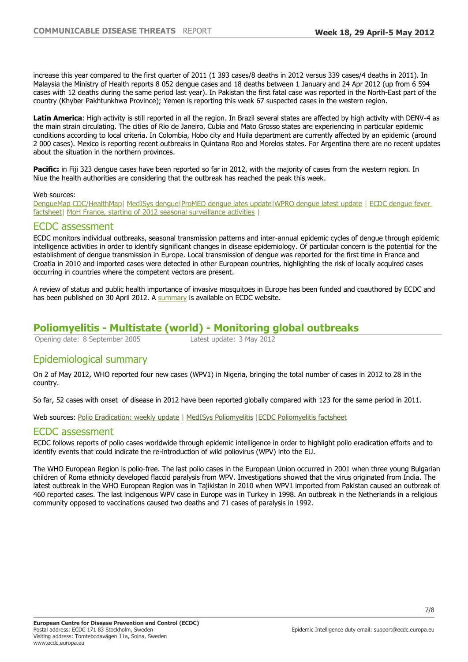increase this year compared to the first quarter of 2011 (1 393 cases/8 deaths in 2012 versus 339 cases/4 deaths in 2011). In Malaysia the Ministry of Health reports 8 052 dengue cases and 18 deaths between 1 January and 24 Apr 2012 (up from 6 594 cases with 12 deaths during the same period last year). In Pakistan the first fatal case was reported in the North-East part of the country (Khyber Pakhtunkhwa Province); Yemen is reporting this week 67 suspected cases in the western region.

**Latin America**: High activity is still reported in all the region. In Brazil several states are affected by high activity with DENV-4 as the main strain circulating. The cities of Rio de Janeiro, Cubia and Mato Grosso states are experiencing in particular epidemic conditions according to local criteria. In Colombia, Hobo city and Huila department are currently affected by an epidemic (around 2 000 cases). Mexico is reporting recent outbreaks in Quintana Roo and Morelos states. For Argentina there are no recent updates about the situation in the northern provinces.

**Pacific:** in Fiji 323 dengue cases have been reported so far in 2012, with the majority of cases from the western region. In Niue the health authorities are considering that the outbreak has reached the peak this week.

#### Web sources:

[DengueMap CDC/HealthMap](http://www.healthmap.org/dengue/)| [MedISys dengue](https://medisys.jrc.it/medisys/alertedition/diseases/en/DengueFever.html)|[ProMED dengue lates update|](http://www.promedmail.org/direct.php?id=20120430.1117916)[WPRO dengue latest update](http://www.wpro.who.int/entity/emerging_diseases/DengueSituationUpdates/en/index.html) | [ECDC dengue fever](http://ecdc.europa.eu/EN/HEALTHTOPICS/DENGUE_FEVER/Pages/index.aspx)  factsheet [MoH France, starting of 2012 seasonal surveillance activities](http://www.sante.gouv.fr/dispositif-de-lutte-contre-la-dissemination-du-moustique-aedes-albopictus-dans-le-sud-de-la-france,11478.html) L

### ECDC assessment

ECDC monitors individual outbreaks, seasonal transmission patterns and inter-annual epidemic cycles of dengue through epidemic intelligence activities in order to identify significant changes in disease epidemiology. Of particular concern is the potential for the establishment of dengue transmission in Europe. Local transmission of dengue was reported for the first time in France and Croatia in 2010 and imported cases were detected in other European countries, highlighting the risk of locally acquired cases occurring in countries where the competent vectors are present.

A review of status and public health importance of invasive mosquitoes in Europe has been funded and coauthored by ECDC and has been published on 30 April 2012. A [summary](http://ecdc.europa.eu/en/press/news/Lists/News/ECDC_DispForm.aspx?List=32e43ee8%2De230%2D4424%2Da783%2D85742124029a&ID=618&RootFolder=%2Fen%2Fpress%2Fnews%2FLists%2FNews) is available on ECDC website.

## **Poliomyelitis - Multistate (world) - Monitoring global outbreaks**

Opening date: 8 September 2005 Latest update: 3 May 2012

## Epidemiological summary

On 2 of May 2012, WHO reported four new cases (WPV1) in Nigeria, bringing the total number of cases in 2012 to 28 in the country.

So far, 52 cases with onset of disease in 2012 have been reported globally compared with 123 for the same period in 2011.

Web sources: [Polio Eradication: weekly update](http://www.polioeradication.org/Dataandmonitoring/Poliothisweek.aspx) | [MedISys Poliomyelitis](https://medisys.jrc.it/medisys/alertedition/diseases/en/Poliomyelitis.html) | [ECDC Poliomyelitis factsheet](http://ecdc.europa.eu/en/healthtopics/polio/Pages/index.aspx)

### ECDC assessment

ECDC follows reports of polio cases worldwide through epidemic intelligence in order to highlight polio eradication efforts and to identify events that could indicate the re-introduction of wild poliovirus (WPV) into the EU.

The WHO European Region is polio-free. The last polio cases in the European Union occurred in 2001 when three young Bulgarian children of Roma ethnicity developed flaccid paralysis from WPV. Investigations showed that the virus originated from India. The latest outbreak in the WHO European Region was in Tajikistan in 2010 when WPV1 imported from Pakistan caused an outbreak of 460 reported cases. The last indigenous WPV case in Europe was in Turkey in 1998. An outbreak in the Netherlands in a religious community opposed to vaccinations caused two deaths and 71 cases of paralysis in 1992.